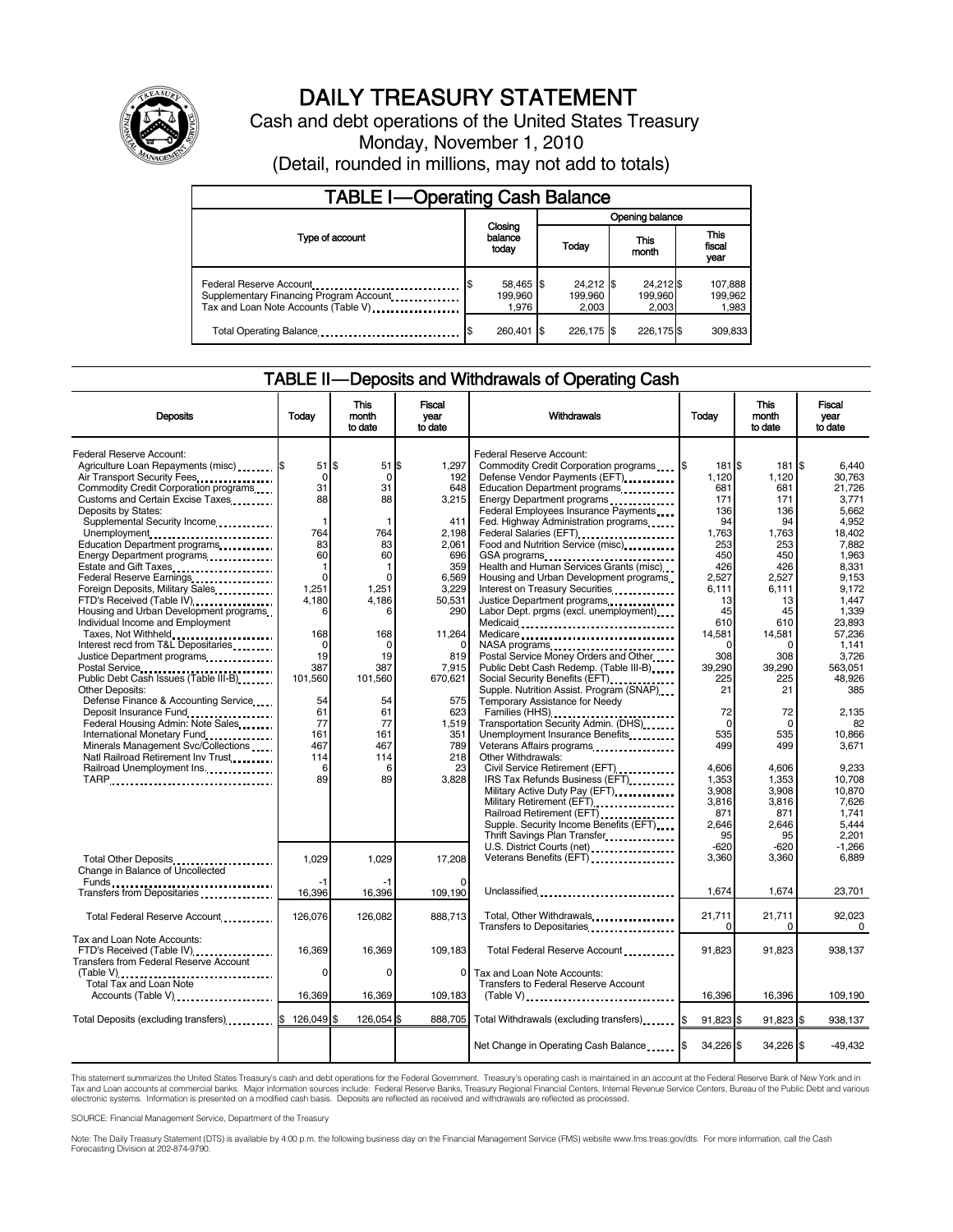

# DAILY TREASURY STATEMENT

Cash and debt operations of the United States Treasury Monday, November 1, 2010 (Detail, rounded in millions, may not add to totals)

| <b>TABLE I-Operating Cash Balance</b>                                                                      |  |                               |                        |                                 |                               |                               |  |                             |
|------------------------------------------------------------------------------------------------------------|--|-------------------------------|------------------------|---------------------------------|-------------------------------|-------------------------------|--|-----------------------------|
|                                                                                                            |  |                               |                        | Opening balance                 |                               |                               |  |                             |
| Type of account                                                                                            |  | Closing<br>balance<br>todav   | This<br>Today<br>month |                                 | <b>This</b><br>fiscal<br>vear |                               |  |                             |
| Federal Reserve Account<br>Supplementary Financing Program Account<br>Tax and Loan Note Accounts (Table V) |  | 58,465 \$<br>199.960<br>1.976 |                        | $24,212$ \$<br>199.960<br>2.003 |                               | 24,212 \$<br>199,960<br>2.003 |  | 107,888<br>199,962<br>1,983 |
| Total Operating Balance                                                                                    |  | 260,401                       |                        | 226.175 \$                      |                               | 226.175 \$                    |  | 309.833                     |

### TABLE II — Deposits and Withdrawals of Operating Cash

| <b>Deposits</b>                                                                                                                        | Today                              | <b>This</b><br>month<br>to date | <b>Fiscal</b><br>vear<br>to date | Withdrawals                                                                                                                                                                                                                                                                                                                     | Today                        | <b>This</b><br>month<br>to date  | <b>Fiscal</b><br>vear<br>to date   |
|----------------------------------------------------------------------------------------------------------------------------------------|------------------------------------|---------------------------------|----------------------------------|---------------------------------------------------------------------------------------------------------------------------------------------------------------------------------------------------------------------------------------------------------------------------------------------------------------------------------|------------------------------|----------------------------------|------------------------------------|
| Federal Reserve Account:<br>Agriculture Loan Repayments (misc) [\$<br>Air Transport Security Fees                                      | $51$ \$<br>$\mathbf 0$             | $51$ $$$<br>$\mathbf 0$         | 1,297<br>192                     | Federal Reserve Account:<br>Commodity Credit Corporation programs \6<br>Defense Vendor Payments (EFT)                                                                                                                                                                                                                           | 181 \$<br>1,120              | 181 \$<br>1,120                  | 6,440<br>30,763                    |
| Commodity Credit Corporation programs<br>Customs and Certain Excise Taxes<br>Deposits by States:<br>Supplemental Security Income       | 31<br>88<br>1                      | 31<br>88                        | 648<br>3,215<br>411              | Education Department programs<br>Energy Department programs<br>Federal Employees Insurance Payments<br>Fed. Highway Administration programs                                                                                                                                                                                     | 681<br>171<br>136<br>94      | 681<br>171<br>136<br>94          | 21.726<br>3,771<br>5.662<br>4,952  |
| Unemployment<br>Education Department programs<br>Energy Department programs<br>Estate and Gift Taxes<br>                               | 764<br>83<br>60<br>1               | 764<br>83<br>60<br>1            | 2,198<br>2,061<br>696<br>359     | Federal Salaries (EFT)<br>1999: 1999: 1999: 1999: 1999: 1999: 1999: 1999: 1999: 1999: 1999: 1999: 1999: 1999: 1999: 1999: 1999: 1999: 1999: 1999: 1999: 1999: 1999: 1999: 1999: 1999: 1999: 1999: 1999: 1999: 1999: 1999: 1999:<br>Food and Nutrition Service (misc)<br>GSA programs<br>Health and Human Services Grants (misc) | 1,763<br>253<br>450<br>426   | 1,763<br>253<br>450<br>426       | 18,402<br>7.882<br>1.963<br>8,331  |
| Federal Reserve Earnings<br>Foreign Deposits, Military Sales<br>FTD's Received (Table IV)<br>Housing and Urban Development programs    | $\mathbf 0$<br>1,251<br>4.180<br>6 | $\Omega$<br>1,251<br>4.186<br>6 | 6,569<br>3.229<br>50,531<br>290  | Housing and Urban Development programs<br>Interest on Treasury Securities.<br>Justice Department programs<br>Labor Dept. prgms (excl. unemployment)                                                                                                                                                                             | 2,527<br>6.111<br>13<br>45   | 2,527<br>6,111<br>13<br>45       | 9,153<br>9.172<br>1.447<br>1,339   |
| Individual Income and Employment<br>Taxes, Not Withheld<br>Interest recd from T&L Depositaries<br>Justice Department programs          | 168<br>$\Omega$<br>19              | 168<br>$\Omega$<br>19           | 11,264<br>819                    | Medicaid<br>Medicare<br>Postal Service Money Orders and Other                                                                                                                                                                                                                                                                   | 610<br>14,581<br>308         | 610<br>14,581<br>$\Omega$<br>308 | 23,893<br>57,236<br>1,141<br>3,726 |
| Public Debt Cash Issues (Table III-B)<br>Other Deposits:<br>Defense Finance & Accounting Service                                       | 387<br>101,560<br>54               | 387<br>101,560<br>54            | 7,915<br>670,621<br>575          | Public Debt Cash Redemp. (Table III-B)<br>Social Security Benefits (EFT)<br>Supple. Nutrition Assist. Program (SNAP)<br>Temporary Assistance for Needy                                                                                                                                                                          | 39,290<br>225<br>21          | 39,290<br>225<br>21              | 563,051<br>48,926<br>385           |
| Deposit Insurance Fund<br>Federal Housing Admin: Note Sales<br>International Monetary Fund<br>Minerals Management Svc/Collections      | 61<br>77<br>161<br>467             | 61<br>77<br>161<br>467          | 623<br>1,519<br>351<br>789       | Transportation Security Admin. (DHS)<br>Unemployment Insurance Benefits<br>Veterans Affairs programs                                                                                                                                                                                                                            | 72<br>$\Omega$<br>535<br>499 | 72<br>$\mathbf 0$<br>535<br>499  | 2.135<br>82<br>10,866<br>3,671     |
| Natl Railroad Retirement Inv Trust<br>Railroad Unemployment Ins.<br>TARP                                                               | 114<br>6<br>89                     | 114<br>6<br>89                  | 218<br>23<br>3,828               | Other Withdrawals:<br>Civil Service Retirement (EFT)<br>IRS Tax Refunds Business (EFT)<br>Military Active Duty Pay (EFT)                                                                                                                                                                                                        | 4,606<br>1,353<br>3,908      | 4,606<br>1,353<br>3,908          | 9,233<br>10,708<br>10,870          |
|                                                                                                                                        |                                    |                                 |                                  | Supple. Security Income Benefits (EFT)<br>Thrift Savings Plan Transfer                                                                                                                                                                                                                                                          | 3.816<br>871<br>2,646<br>95  | 3,816<br>871<br>2,646<br>95      | 7.626<br>1.741<br>5,444<br>2,201   |
| Total Other Deposits<br>Change in Balance of Uncollected                                                                               | 1,029                              | 1,029                           | 17,208                           | U.S. District Courts (net)<br>Veterans Benefits (EFT)                                                                                                                                                                                                                                                                           | $-620$<br>3,360              | $-620$<br>3,360                  | $-1.266$<br>6,889                  |
|                                                                                                                                        | 16,396                             | 16,396                          | 109,190                          | Unclassified                                                                                                                                                                                                                                                                                                                    | 1,674                        | 1,674                            | 23,701                             |
| Total Federal Reserve Account                                                                                                          | 126.076                            | 126.082                         | 888.713                          | Transfers to Depositaries                                                                                                                                                                                                                                                                                                       | 21,711<br>$\Omega$           | 21,711<br>$\Omega$               | 92,023<br>$\Omega$                 |
| Tax and Loan Note Accounts:<br>FTD's Received (Table IV)<br>FTD's Received (Table IV)<br><b>Transfers from Federal Reserve Account</b> | 16,369<br>$\Omega$                 | 16,369<br>$\Omega$              | 109,183<br>$\Omega$              | Total Federal Reserve Account<br>Tax and Loan Note Accounts:                                                                                                                                                                                                                                                                    | 91,823                       | 91,823                           | 938,137                            |
| Accounts (Table V)                                                                                                                     | 16,369                             | 16,369                          | 109,183                          | <b>Transfers to Federal Reserve Account</b><br>$(Table V)$                                                                                                                                                                                                                                                                      | 16,396                       | 16,396                           | 109,190                            |
| Total Deposits (excluding transfers) 3 126,049 \$                                                                                      |                                    | 126,054 \$                      |                                  | 888,705 Total Withdrawals (excluding transfers). [\$                                                                                                                                                                                                                                                                            | 91,823 \$                    | 91,823 \$                        | 938,137                            |
|                                                                                                                                        |                                    |                                 |                                  | Net Change in Operating Cash Balance                                                                                                                                                                                                                                                                                            | 34,226 \$<br>I\$             | 34,226 \$                        | $-49,432$                          |

This statement summarizes the United States Treasury's cash and debt operations for the Federal Government. Treasury's operating cash is maintained in an account at the Federal Reserve Bank of New York and in<br>Tax and Loan

SOURCE: Financial Management Service, Department of the Treasury

Note: The Daily Treasury Statement (DTS) is available by 4:00 p.m. the following business day on the Financial Management Service (FMS) website www.fms.treas.gov/dts. For more information, call the Cash Forecasting Division at 202-874-9790.